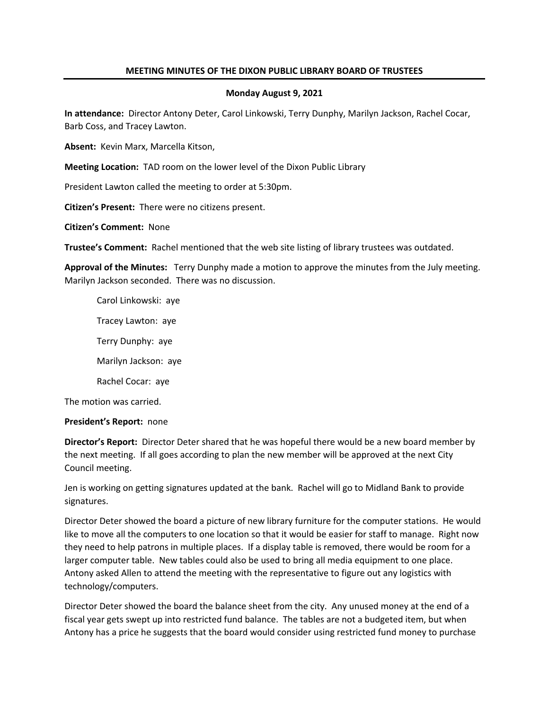# **MEETING MINUTES OF THE DIXON PUBLIC LIBRARY BOARD OF TRUSTEES**

## **Monday August 9, 2021**

**In attendance:** Director Antony Deter, Carol Linkowski, Terry Dunphy, Marilyn Jackson, Rachel Cocar, Barb Coss, and Tracey Lawton.

**Absent:** Kevin Marx, Marcella Kitson,

**Meeting Location:** TAD room on the lower level of the Dixon Public Library

President Lawton called the meeting to order at 5:30pm.

**Citizen's Present:** There were no citizens present.

**Citizen's Comment:** None

**Trustee's Comment:** Rachel mentioned that the web site listing of library trustees was outdated.

**Approval of the Minutes:** Terry Dunphy made a motion to approve the minutes from the July meeting. Marilyn Jackson seconded. There was no discussion.

Carol Linkowski: aye Tracey Lawton: aye Terry Dunphy: aye Marilyn Jackson: aye Rachel Cocar: aye

The motion was carried.

## **President's Report:** none

**Director's Report:** Director Deter shared that he was hopeful there would be a new board member by the next meeting. If all goes according to plan the new member will be approved at the next City Council meeting.

Jen is working on getting signatures updated at the bank. Rachel will go to Midland Bank to provide signatures.

Director Deter showed the board a picture of new library furniture for the computer stations. He would like to move all the computers to one location so that it would be easier for staff to manage. Right now they need to help patrons in multiple places. If a display table is removed, there would be room for a larger computer table. New tables could also be used to bring all media equipment to one place. Antony asked Allen to attend the meeting with the representative to figure out any logistics with technology/computers.

Director Deter showed the board the balance sheet from the city. Any unused money at the end of a fiscal year gets swept up into restricted fund balance. The tables are not a budgeted item, but when Antony has a price he suggests that the board would consider using restricted fund money to purchase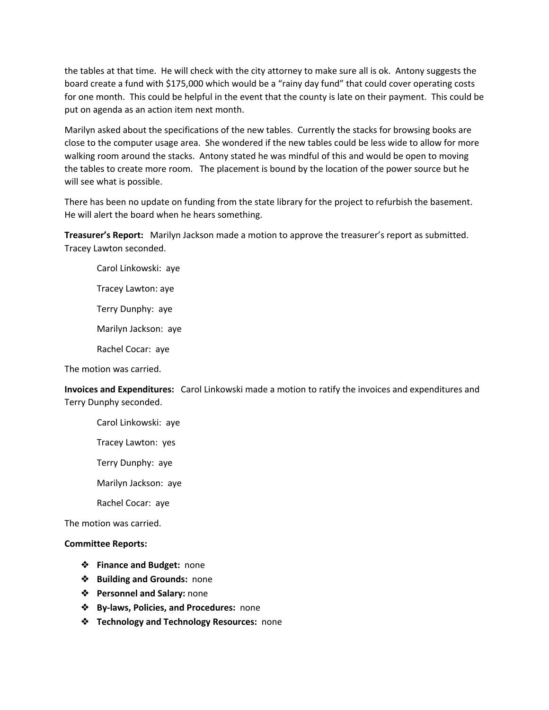the tables at that time. He will check with the city attorney to make sure all is ok. Antony suggests the board create a fund with \$175,000 which would be a "rainy day fund" that could cover operating costs for one month. This could be helpful in the event that the county is late on their payment. This could be put on agenda as an action item next month.

Marilyn asked about the specifications of the new tables. Currently the stacks for browsing books are close to the computer usage area. She wondered if the new tables could be less wide to allow for more walking room around the stacks. Antony stated he was mindful of this and would be open to moving the tables to create more room. The placement is bound by the location of the power source but he will see what is possible.

There has been no update on funding from the state library for the project to refurbish the basement. He will alert the board when he hears something.

**Treasurer's Report:** Marilyn Jackson made a motion to approve the treasurer's report as submitted. Tracey Lawton seconded.

Carol Linkowski: aye Tracey Lawton: aye Terry Dunphy: aye Marilyn Jackson: aye

Rachel Cocar: aye

The motion was carried.

**Invoices and Expenditures:** Carol Linkowski made a motion to ratify the invoices and expenditures and Terry Dunphy seconded.

Carol Linkowski: aye

Tracey Lawton: yes

Terry Dunphy: aye

Marilyn Jackson: aye

Rachel Cocar: aye

The motion was carried.

## **Committee Reports:**

- ❖ **Finance and Budget:** none
- ❖ **Building and Grounds:** none
- ❖ **Personnel and Salary:** none
- ❖ **By-laws, Policies, and Procedures:** none
- ❖ **Technology and Technology Resources:** none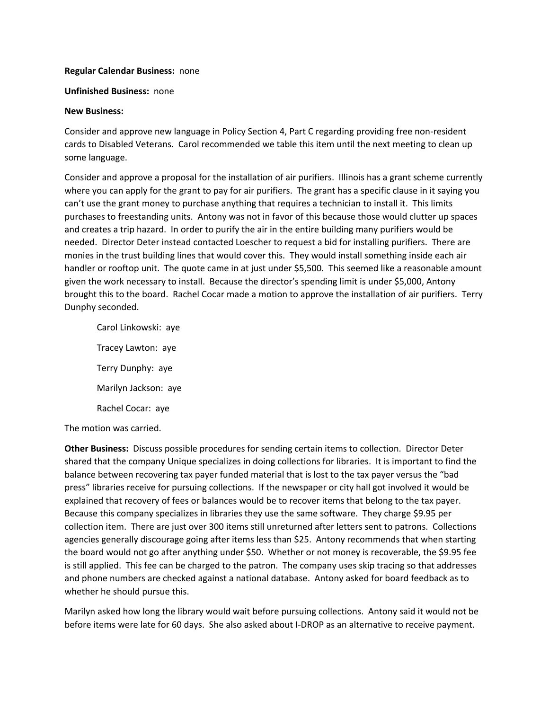## **Regular Calendar Business:** none

#### **Unfinished Business:** none

#### **New Business:**

Consider and approve new language in Policy Section 4, Part C regarding providing free non-resident cards to Disabled Veterans. Carol recommended we table this item until the next meeting to clean up some language.

Consider and approve a proposal for the installation of air purifiers. Illinois has a grant scheme currently where you can apply for the grant to pay for air purifiers. The grant has a specific clause in it saying you can't use the grant money to purchase anything that requires a technician to install it. This limits purchases to freestanding units. Antony was not in favor of this because those would clutter up spaces and creates a trip hazard. In order to purify the air in the entire building many purifiers would be needed. Director Deter instead contacted Loescher to request a bid for installing purifiers. There are monies in the trust building lines that would cover this. They would install something inside each air handler or rooftop unit. The quote came in at just under \$5,500. This seemed like a reasonable amount given the work necessary to install. Because the director's spending limit is under \$5,000, Antony brought this to the board. Rachel Cocar made a motion to approve the installation of air purifiers. Terry Dunphy seconded.

Carol Linkowski: aye Tracey Lawton: aye Terry Dunphy: aye Marilyn Jackson: aye Rachel Cocar: aye

The motion was carried.

**Other Business:** Discuss possible procedures for sending certain items to collection. Director Deter shared that the company Unique specializes in doing collections for libraries. It is important to find the balance between recovering tax payer funded material that is lost to the tax payer versus the "bad press" libraries receive for pursuing collections. If the newspaper or city hall got involved it would be explained that recovery of fees or balances would be to recover items that belong to the tax payer. Because this company specializes in libraries they use the same software. They charge \$9.95 per collection item. There are just over 300 items still unreturned after letters sent to patrons. Collections agencies generally discourage going after items less than \$25. Antony recommends that when starting the board would not go after anything under \$50. Whether or not money is recoverable, the \$9.95 fee is still applied. This fee can be charged to the patron. The company uses skip tracing so that addresses and phone numbers are checked against a national database. Antony asked for board feedback as to whether he should pursue this.

Marilyn asked how long the library would wait before pursuing collections. Antony said it would not be before items were late for 60 days. She also asked about I-DROP as an alternative to receive payment.